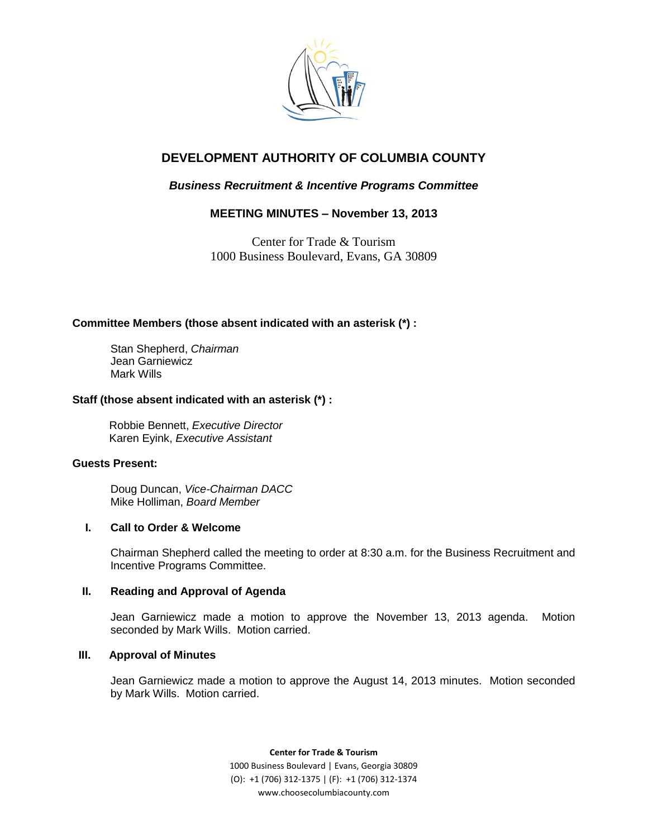

# **DEVELOPMENT AUTHORITY OF COLUMBIA COUNTY**

## *Business Recruitment & Incentive Programs Committee*

## **MEETING MINUTES – November 13, 2013**

Center for Trade & Tourism 1000 Business Boulevard, Evans, GA 30809

## **Committee Members (those absent indicated with an asterisk (\*) :**

Stan Shepherd, *Chairman* Jean Garniewicz Mark Wills

## **Staff (those absent indicated with an asterisk (\*) :**

Robbie Bennett, *Executive Director* Karen Eyink, *Executive Assistant*

## **Guests Present:**

Doug Duncan, *Vice-Chairman DACC* Mike Holliman, *Board Member* 

## **I. Call to Order & Welcome**

Chairman Shepherd called the meeting to order at 8:30 a.m. for the Business Recruitment and Incentive Programs Committee.

## **II. Reading and Approval of Agenda**

Jean Garniewicz made a motion to approve the November 13, 2013 agenda. Motion seconded by Mark Wills. Motion carried.

## **III. Approval of Minutes**

Jean Garniewicz made a motion to approve the August 14, 2013 minutes. Motion seconded by Mark Wills. Motion carried.

> **Center for Trade & Tourism** 1000 Business Boulevard | Evans, Georgia 30809 (O): +1 (706) 312-1375 | (F): +1 (706) 312-1374 www.choosecolumbiacounty.com